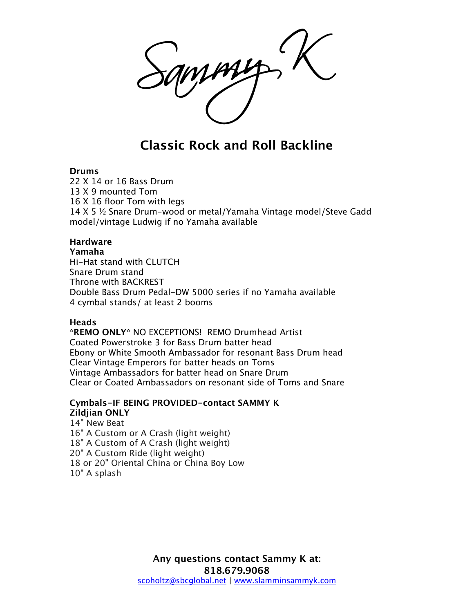# **Classic Rock and Roll Backline**

#### **Drums**

22 X 14 or 16 Bass Drum 13 X 9 mounted Tom 16 X 16 floor Tom with legs 14 X 5 ½ Snare Drum-wood or metal/Yamaha Vintage model/Steve Gadd model/vintage Ludwig if no Yamaha available

### **Hardware**

#### **Yamaha**

Hi-Hat stand with CLUTCH Snare Drum stand Throne with BACKREST Double Bass Drum Pedal-DW 5000 series if no Yamaha available 4 cymbal stands/ at least 2 booms

#### **Heads**

**\*REMO ONLY\*** NO EXCEPTIONS! REMO Drumhead Artist Coated Powerstroke 3 for Bass Drum batter head Ebony or White Smooth Ambassador for resonant Bass Drum head Clear Vintage Emperors for batter heads on Toms Vintage Ambassadors for batter head on Snare Drum Clear or Coated Ambassadors on resonant side of Toms and Snare

### **Cymbals-IF BEING PROVIDED-contact SAMMY K Zildjian ONLY**

14" New Beat 16" A Custom or A Crash (light weight) 18" A Custom of A Crash (light weight) 20" A Custom Ride (light weight) 18 or 20" Oriental China or China Boy Low 10" A splash